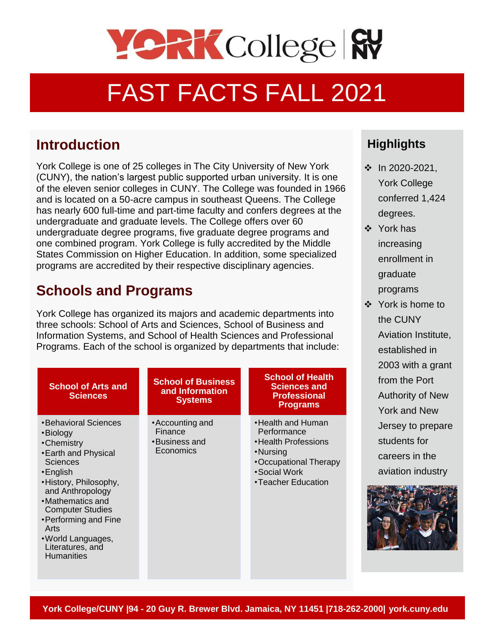

# FAST FACTS FALL 2021

### **Introduction**

(CUNY), the nation's largest public supported urban university. It is one York College is one of 25 colleges in The City University of New York of the eleven senior colleges in CUNY. The College was founded in 1966 and is located on a 50-acre campus in southeast Queens. The College has nearly 600 full-time and part-time faculty and confers degrees at the undergraduate and graduate levels. The College offers over 60 undergraduate degree programs, five graduate degree programs and one combined program. York College is fully accredited by the Middle States Commission on Higher Education. In addition, some specialized programs are accredited by their respective disciplinary agencies.

# **Schools and Programs**

York College has organized its majors and academic departments into three schools: School of Arts and Sciences, School of Business and Information Systems, and School of Health Sciences and Professional Programs. Each of the school is organized by departments that include:

| <b>School of Arts and</b><br><b>Sciences</b>                                                                                                                                                                                                                                                            | <b>School of Business</b><br>and Information<br><b>Systems</b> | <b>School of Health</b><br><b>Sciences and</b><br><b>Professional</b><br><b>Programs</b>                                            |
|---------------------------------------------------------------------------------------------------------------------------------------------------------------------------------------------------------------------------------------------------------------------------------------------------------|----------------------------------------------------------------|-------------------------------------------------------------------------------------------------------------------------------------|
| •Behavioral Sciences<br>•Biology<br>•Chemistry<br>• Earth and Physical<br><b>Sciences</b><br>$\cdot$ English<br>•History, Philosophy,<br>and Anthropology<br>•Mathematics and<br><b>Computer Studies</b><br>•Performing and Fine<br>Arts<br>• World Languages,<br>Literatures, and<br><b>Humanities</b> | • Accounting and<br>Finance<br>•Business and<br>Economics      | •Health and Human<br>Performance<br>•Health Professions<br>•Nursing<br>•Occupational Therapy<br>• Social Work<br>•Teacher Education |

#### **Highlights**

- ❖ In 2020-2021, York College conferred 1,424 degrees.
- ❖ York has increasing enrollment in graduate programs
- ❖ York is home to the CUNY Aviation Institute, established in 2003 with a grant from the Port Authority of New York and New Jersey to prepare students for careers in the aviation industry